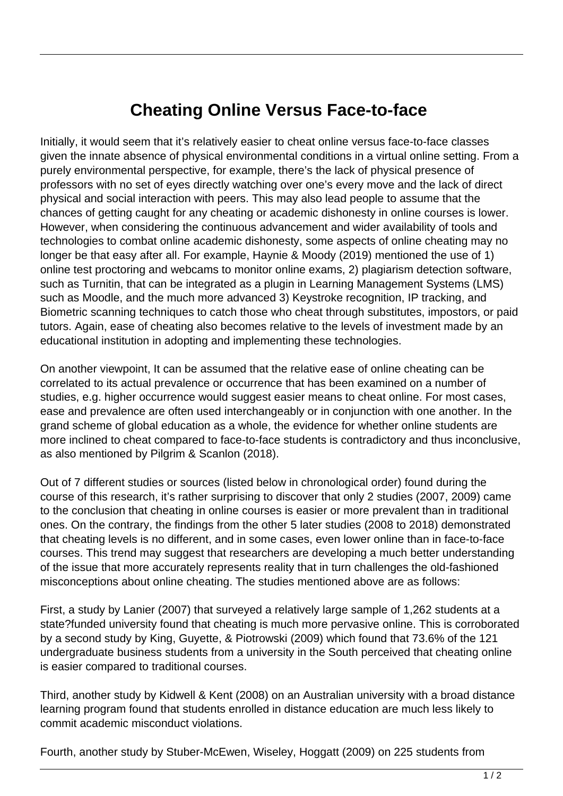## **Cheating Online Versus Face-to-face**

Initially, it would seem that it's relatively easier to cheat online versus face-to-face classes given the innate absence of physical environmental conditions in a virtual online setting. From a purely environmental perspective, for example, there's the lack of physical presence of professors with no set of eyes directly watching over one's every move and the lack of direct physical and social interaction with peers. This may also lead people to assume that the chances of getting caught for any cheating or academic dishonesty in online courses is lower. However, when considering the continuous advancement and wider availability of tools and technologies to combat online academic dishonesty, some aspects of online cheating may no longer be that easy after all. For example, Haynie & Moody (2019) mentioned the use of 1) online test proctoring and webcams to monitor online exams, 2) plagiarism detection software, such as Turnitin, that can be integrated as a plugin in Learning Management Systems (LMS) such as Moodle, and the much more advanced 3) Keystroke recognition, IP tracking, and Biometric scanning techniques to catch those who cheat through substitutes, impostors, or paid tutors. Again, ease of cheating also becomes relative to the levels of investment made by an educational institution in adopting and implementing these technologies.

On another viewpoint, It can be assumed that the relative ease of online cheating can be correlated to its actual prevalence or occurrence that has been examined on a number of studies, e.g. higher occurrence would suggest easier means to cheat online. For most cases, ease and prevalence are often used interchangeably or in conjunction with one another. In the grand scheme of global education as a whole, the evidence for whether online students are more inclined to cheat compared to face-to-face students is contradictory and thus inconclusive, as also mentioned by Pilgrim & Scanlon (2018).

Out of 7 different studies or sources (listed below in chronological order) found during the course of this research, it's rather surprising to discover that only 2 studies (2007, 2009) came to the conclusion that cheating in online courses is easier or more prevalent than in traditional ones. On the contrary, the findings from the other 5 later studies (2008 to 2018) demonstrated that cheating levels is no different, and in some cases, even lower online than in face-to-face courses. This trend may suggest that researchers are developing a much better understanding of the issue that more accurately represents reality that in turn challenges the old-fashioned misconceptions about online cheating. The studies mentioned above are as follows:

First, a study by Lanier (2007) that surveyed a relatively large sample of 1,262 students at a state?funded university found that cheating is much more pervasive online. This is corroborated by a second study by King, Guyette, & Piotrowski (2009) which found that 73.6% of the 121 undergraduate business students from a university in the South perceived that cheating online is easier compared to traditional courses.

Third, another study by Kidwell & Kent (2008) on an Australian university with a broad distance learning program found that students enrolled in distance education are much less likely to commit academic misconduct violations.

Fourth, another study by Stuber-McEwen, Wiseley, Hoggatt (2009) on 225 students from